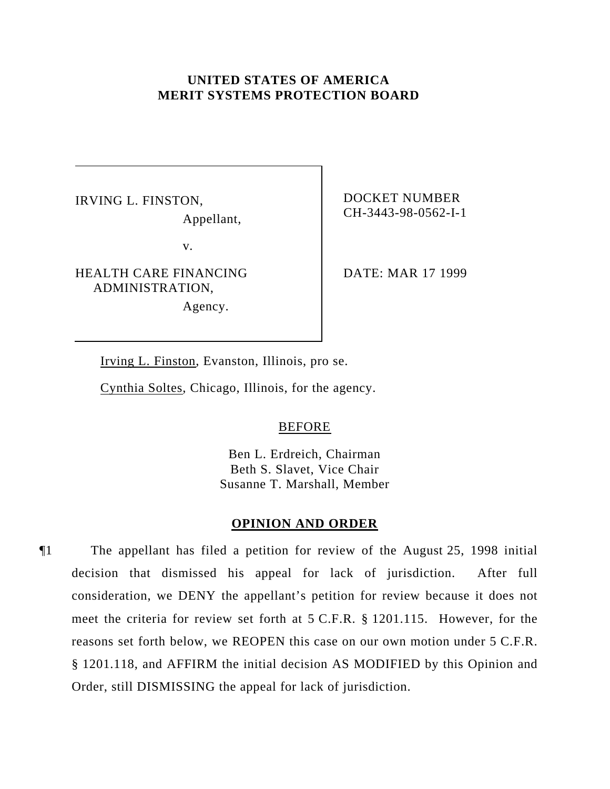# **UNITED STATES OF AMERICA MERIT SYSTEMS PROTECTION BOARD**

IRVING L. FINSTON, Appellant,

v.

HEALTH CARE FINANCING ADMINISTRATION,

Agency.

DOCKET NUMBER CH-3443-98-0562-I-1

DATE: MAR 17 1999

Irving L. Finston, Evanston, Illinois, pro se.

Cynthia Soltes, Chicago, Illinois, for the agency.

### BEFORE

Ben L. Erdreich, Chairman Beth S. Slavet, Vice Chair Susanne T. Marshall, Member

### **OPINION AND ORDER**

¶1 The appellant has filed a petition for review of the August 25, 1998 initial decision that dismissed his appeal for lack of jurisdiction. After full consideration, we DENY the appellant's petition for review because it does not meet the criteria for review set forth at 5 C.F.R. § 1201.115. However, for the reasons set forth below, we REOPEN this case on our own motion under 5 C.F.R. § 1201.118, and AFFIRM the initial decision AS MODIFIED by this Opinion and Order, still DISMISSING the appeal for lack of jurisdiction.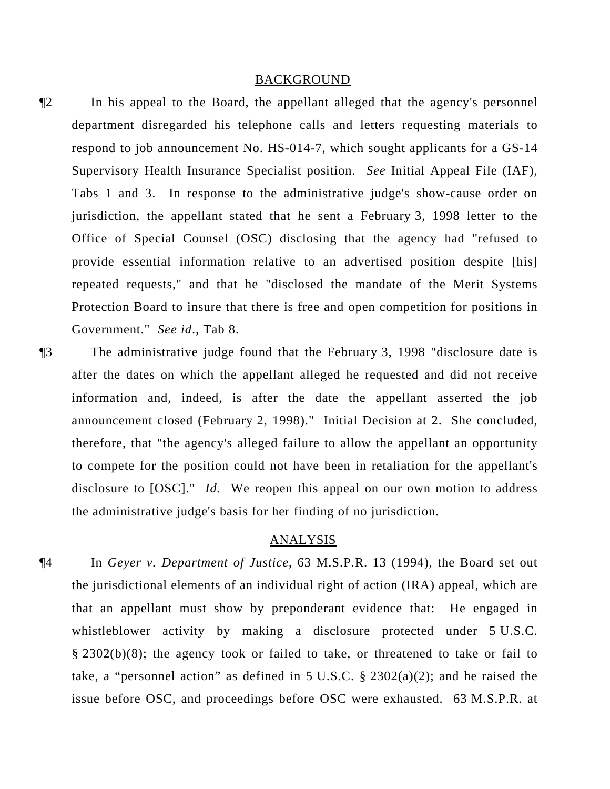#### BACKGROUND

- ¶2 In his appeal to the Board, the appellant alleged that the agency's personnel department disregarded his telephone calls and letters requesting materials to respond to job announcement No. HS-014-7, which sought applicants for a GS-14 Supervisory Health Insurance Specialist position. *See* Initial Appeal File (IAF), Tabs 1 and 3. In response to the administrative judge's show-cause order on jurisdiction, the appellant stated that he sent a February 3, 1998 letter to the Office of Special Counsel (OSC) disclosing that the agency had "refused to provide essential information relative to an advertised position despite [his] repeated requests," and that he "disclosed the mandate of the Merit Systems Protection Board to insure that there is free and open competition for positions in Government." *See id*., Tab 8.
- ¶3 The administrative judge found that the February 3, 1998 "disclosure date is after the dates on which the appellant alleged he requested and did not receive information and, indeed, is after the date the appellant asserted the job announcement closed (February 2, 1998)." Initial Decision at 2. She concluded, therefore, that "the agency's alleged failure to allow the appellant an opportunity to compete for the position could not have been in retaliation for the appellant's disclosure to [OSC]." *Id.* We reopen this appeal on our own motion to address the administrative judge's basis for her finding of no jurisdiction.

### ANALYSIS

¶4 In *Geyer v. Department of Justice*, 63 M.S.P.R. 13 (1994), the Board set out the jurisdictional elements of an individual right of action (IRA) appeal, which are that an appellant must show by preponderant evidence that: He engaged in whistleblower activity by making a disclosure protected under 5 U.S.C. § 2302(b)(8); the agency took or failed to take, or threatened to take or fail to take, a "personnel action" as defined in 5 U.S.C.  $\S$  2302(a)(2); and he raised the issue before OSC, and proceedings before OSC were exhausted. 63 M.S.P.R. at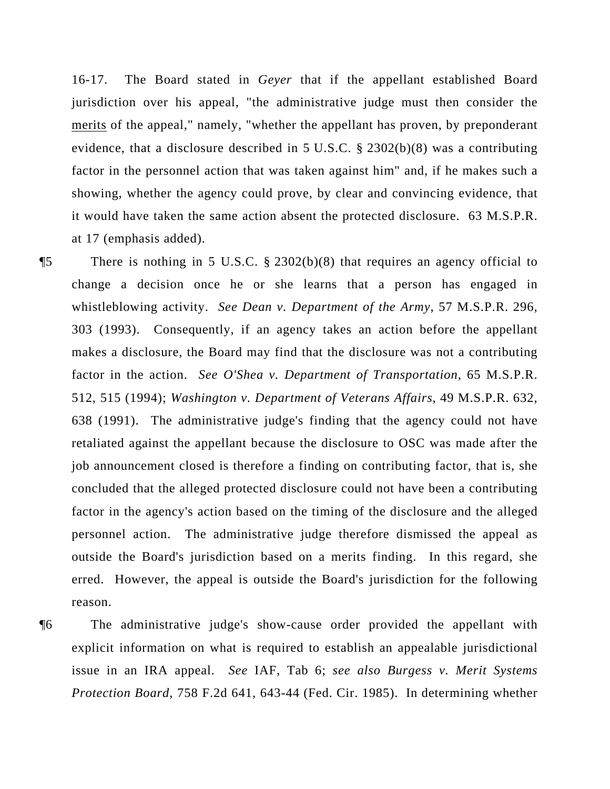16-17. The Board stated in *Geyer* that if the appellant established Board jurisdiction over his appeal, "the administrative judge must then consider the merits of the appeal," namely, "whether the appellant has proven, by preponderant evidence, that a disclosure described in 5 U.S.C. § 2302(b)(8) was a contributing factor in the personnel action that was taken against him" and, if he makes such a showing, whether the agency could prove, by clear and convincing evidence, that it would have taken the same action absent the protected disclosure. 63 M.S.P.R. at 17 (emphasis added).

¶5 There is nothing in 5 U.S.C. § 2302(b)(8) that requires an agency official to change a decision once he or she learns that a person has engaged in whistleblowing activity. *See Dean v. Department of the Army*, 57 M.S.P.R. 296, 303 (1993). Consequently, if an agency takes an action before the appellant makes a disclosure, the Board may find that the disclosure was not a contributing factor in the action. *See O'Shea v. Department of Transportation*, 65 M.S.P.R. 512, 515 (1994); *Washington v. Department of Veterans Affairs*, 49 M.S.P.R. 632, 638 (1991). The administrative judge's finding that the agency could not have retaliated against the appellant because the disclosure to OSC was made after the job announcement closed is therefore a finding on contributing factor, that is, she concluded that the alleged protected disclosure could not have been a contributing factor in the agency's action based on the timing of the disclosure and the alleged personnel action. The administrative judge therefore dismissed the appeal as outside the Board's jurisdiction based on a merits finding. In this regard, she erred. However, the appeal is outside the Board's jurisdiction for the following reason.

¶6 The administrative judge's show-cause order provided the appellant with explicit information on what is required to establish an appealable jurisdictional issue in an IRA appeal. *See* IAF, Tab 6; *see also Burgess v. Merit Systems Protection Board*, 758 F.2d 641, 643-44 (Fed. Cir. 1985). In determining whether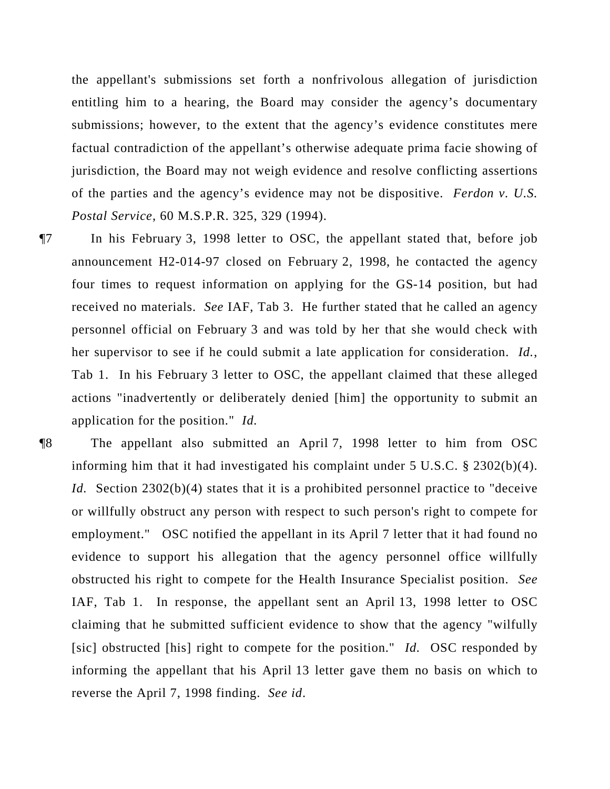the appellant's submissions set forth a nonfrivolous allegation of jurisdiction entitling him to a hearing, the Board may consider the agency's documentary submissions; however, to the extent that the agency's evidence constitutes mere factual contradiction of the appellant's otherwise adequate prima facie showing of jurisdiction, the Board may not weigh evidence and resolve conflicting assertions of the parties and the agency's evidence may not be dispositive. *Ferdon v. U.S. Postal Service*, 60 M.S.P.R. 325, 329 (1994).

¶7 In his February 3, 1998 letter to OSC, the appellant stated that, before job announcement H2-014-97 closed on February 2, 1998, he contacted the agency four times to request information on applying for the GS-14 position, but had received no materials. *See* IAF, Tab 3. He further stated that he called an agency personnel official on February 3 and was told by her that she would check with her supervisor to see if he could submit a late application for consideration. *Id.*, Tab 1. In his February 3 letter to OSC, the appellant claimed that these alleged actions "inadvertently or deliberately denied [him] the opportunity to submit an application for the position." *Id.* 

¶8 The appellant also submitted an April 7, 1998 letter to him from OSC informing him that it had investigated his complaint under 5 U.S.C. § 2302(b)(4). *Id.* Section 2302(b)(4) states that it is a prohibited personnel practice to "deceive or willfully obstruct any person with respect to such person's right to compete for employment." OSC notified the appellant in its April 7 letter that it had found no evidence to support his allegation that the agency personnel office willfully obstructed his right to compete for the Health Insurance Specialist position. *See* IAF, Tab 1. In response, the appellant sent an April 13, 1998 letter to OSC claiming that he submitted sufficient evidence to show that the agency "wilfully [sic] obstructed [his] right to compete for the position." *Id.* OSC responded by informing the appellant that his April 13 letter gave them no basis on which to reverse the April 7, 1998 finding. *See id*.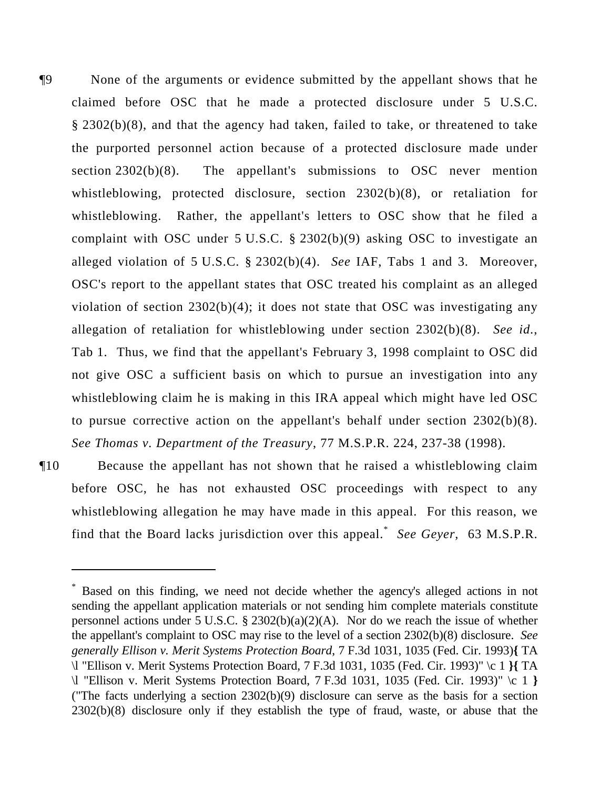¶9 None of the arguments or evidence submitted by the appellant shows that he claimed before OSC that he made a protected disclosure under 5 U.S.C. § 2302(b)(8), and that the agency had taken, failed to take, or threatened to take the purported personnel action because of a protected disclosure made under section 2302(b)(8). The appellant's submissions to OSC never mention whistleblowing, protected disclosure, section 2302(b)(8), or retaliation for whistleblowing. Rather, the appellant's letters to OSC show that he filed a complaint with OSC under 5 U.S.C. § 2302(b)(9) asking OSC to investigate an alleged violation of 5 U.S.C. § 2302(b)(4). *See* IAF, Tabs 1 and 3. Moreover, OSC's report to the appellant states that OSC treated his complaint as an alleged violation of section 2302(b)(4); it does not state that OSC was investigating any allegation of retaliation for whistleblowing under section 2302(b)(8). *See id*., Tab 1. Thus, we find that the appellant's February 3, 1998 complaint to OSC did not give OSC a sufficient basis on which to pursue an investigation into any whistleblowing claim he is making in this IRA appeal which might have led OSC to pursue corrective action on the appellant's behalf under section 2302(b)(8). *See Thomas v. Department of the Treasury*, 77 M.S.P.R. 224, 237-38 (1998).

¶10 Because the appellant has not shown that he raised a whistleblowing claim before OSC, he has not exhausted OSC proceedings with respect to any whistleblowing allegation he may have made in this appeal. For this reason, we find that the Board lacks jurisdiction over this appeal.\* *See Geyer*, 63 M.S.P.R.

<sup>\*</sup> Based on this finding, we need not decide whether the agency's alleged actions in not sending the appellant application materials or not sending him complete materials constitute personnel actions under 5 U.S.C. § 2302(b)(a)(2)(A). Nor do we reach the issue of whether the appellant's complaint to OSC may rise to the level of a section 2302(b)(8) disclosure. *See generally Ellison v. Merit Systems Protection Board*, 7 F.3d 1031, 1035 (Fed. Cir. 1993)**{** TA \l "Ellison v. Merit Systems Protection Board, 7 F.3d 1031, 1035 (Fed. Cir. 1993)" \c 1 **}{** TA \l "Ellison v. Merit Systems Protection Board, 7 F.3d 1031, 1035 (Fed. Cir. 1993)" \c 1 **}** ("The facts underlying a section 2302(b)(9) disclosure can serve as the basis for a section 2302(b)(8) disclosure only if they establish the type of fraud, waste, or abuse that the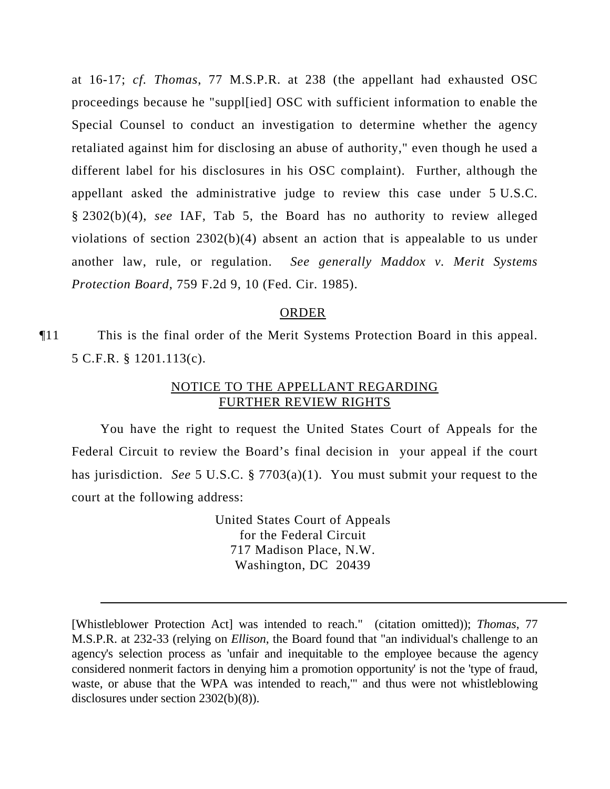at 16-17; *cf. Thomas*, 77 M.S.P.R. at 238 (the appellant had exhausted OSC proceedings because he "suppl[ied] OSC with sufficient information to enable the Special Counsel to conduct an investigation to determine whether the agency retaliated against him for disclosing an abuse of authority," even though he used a different label for his disclosures in his OSC complaint). Further, although the appellant asked the administrative judge to review this case under 5 U.S.C. § 2302(b)(4), *see* IAF, Tab 5, the Board has no authority to review alleged violations of section 2302(b)(4) absent an action that is appealable to us under another law, rule, or regulation. *See generally Maddox v. Merit Systems Protection Board*, 759 F.2d 9, 10 (Fed. Cir. 1985).

#### ORDER

¶11 This is the final order of the Merit Systems Protection Board in this appeal. 5 C.F.R. § 1201.113(c).

## NOTICE TO THE APPELLANT REGARDING FURTHER REVIEW RIGHTS

You have the right to request the United States Court of Appeals for the Federal Circuit to review the Board's final decision in your appeal if the court has jurisdiction. *See* 5 U.S.C. § 7703(a)(1). You must submit your request to the court at the following address:

> United States Court of Appeals for the Federal Circuit 717 Madison Place, N.W. Washington, DC 20439

<sup>[</sup>Whistleblower Protection Act] was intended to reach." (citation omitted)); *Thomas*, 77 M.S.P.R. at 232-33 (relying on *Ellison*, the Board found that "an individual's challenge to an agency's selection process as 'unfair and inequitable to the employee because the agency considered nonmerit factors in denying him a promotion opportunity' is not the 'type of fraud, waste, or abuse that the WPA was intended to reach,'" and thus were not whistleblowing disclosures under section 2302(b)(8)).